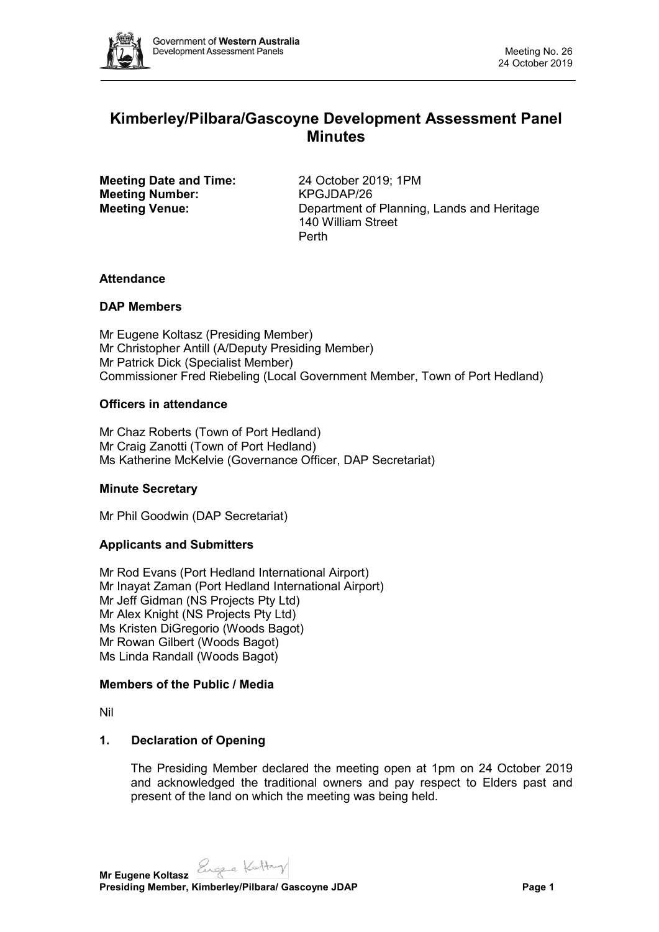

# **Kimberley/Pilbara/Gascoyne Development Assessment Panel Minutes**

**Meeting Date and Time:** 24 October 2019; 1PM<br> **Meeting Number:** KPGJDAP/26 **Meeting Number:** 

**Meeting Venue:** Department of Planning, Lands and Heritage 140 William Street Perth

### **Attendance**

### **DAP Members**

Mr Eugene Koltasz (Presiding Member) Mr Christopher Antill (A/Deputy Presiding Member) Mr Patrick Dick (Specialist Member) Commissioner Fred Riebeling (Local Government Member, Town of Port Hedland)

### **Officers in attendance**

Mr Chaz Roberts (Town of Port Hedland) Mr Craig Zanotti (Town of Port Hedland) Ms Katherine McKelvie (Governance Officer, DAP Secretariat)

# **Minute Secretary**

Mr Phil Goodwin (DAP Secretariat)

# **Applicants and Submitters**

Mr Rod Evans (Port Hedland International Airport) Mr Inayat Zaman (Port Hedland International Airport) Mr Jeff Gidman (NS Projects Pty Ltd) Mr Alex Knight (NS Projects Pty Ltd) Ms Kristen DiGregorio (Woods Bagot) Mr Rowan Gilbert (Woods Bagot) Ms Linda Randall (Woods Bagot)

### **Members of the Public / Media**

Nil

### **1. Declaration of Opening**

The Presiding Member declared the meeting open at 1pm on 24 October 2019 and acknowledged the traditional owners and pay respect to Elders past and present of the land on which the meeting was being held.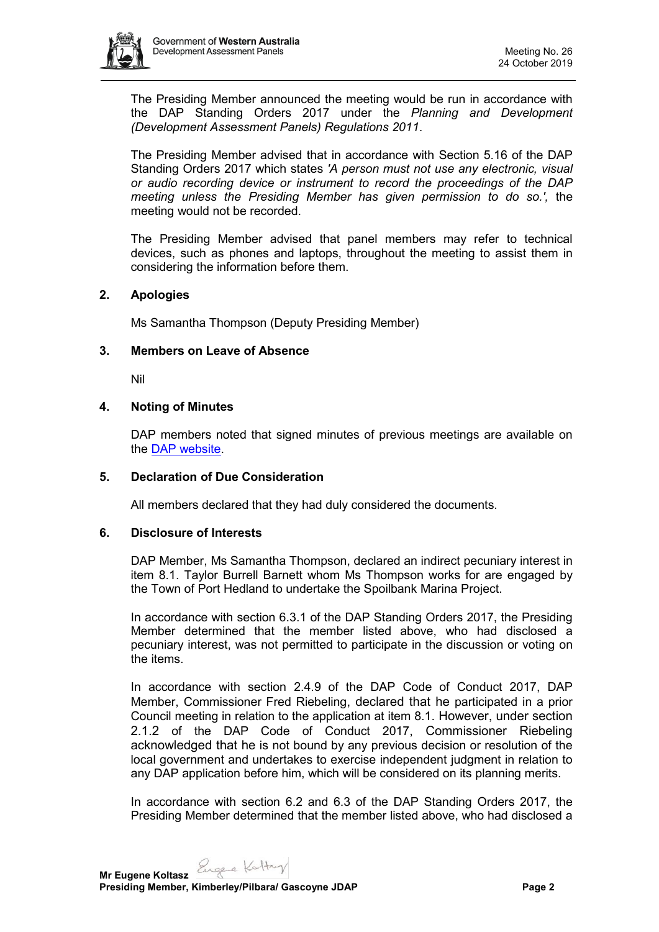

The Presiding Member announced the meeting would be run in accordance with the DAP Standing Orders 2017 under the *Planning and Development (Development Assessment Panels) Regulations 2011*.

The Presiding Member advised that in accordance with Section 5.16 of the DAP Standing Orders 2017 which states *'A person must not use any electronic, visual or audio recording device or instrument to record the proceedings of the DAP meeting unless the Presiding Member has given permission to do so.',* the meeting would not be recorded.

The Presiding Member advised that panel members may refer to technical devices, such as phones and laptops, throughout the meeting to assist them in considering the information before them.

### **2. Apologies**

Ms Samantha Thompson (Deputy Presiding Member)

### **3. Members on Leave of Absence**

Nil

### **4. Noting of Minutes**

DAP members noted that signed minutes of previous meetings are available on the [DAP website.](https://www.dplh.wa.gov.au/about/development-assessment-panels/daps-agendas-and-minutes)

### **5. Declaration of Due Consideration**

All members declared that they had duly considered the documents.

### **6. Disclosure of Interests**

DAP Member, Ms Samantha Thompson, declared an indirect pecuniary interest in item 8.1. Taylor Burrell Barnett whom Ms Thompson works for are engaged by the Town of Port Hedland to undertake the Spoilbank Marina Project.

In accordance with section 6.3.1 of the DAP Standing Orders 2017, the Presiding Member determined that the member listed above, who had disclosed a pecuniary interest, was not permitted to participate in the discussion or voting on the items.

In accordance with section 2.4.9 of the DAP Code of Conduct 2017, DAP Member, Commissioner Fred Riebeling, declared that he participated in a prior Council meeting in relation to the application at item 8.1. However, under section 2.1.2 of the DAP Code of Conduct 2017, Commissioner Riebeling acknowledged that he is not bound by any previous decision or resolution of the local government and undertakes to exercise independent judgment in relation to any DAP application before him, which will be considered on its planning merits.

In accordance with section 6.2 and 6.3 of the DAP Standing Orders 2017, the Presiding Member determined that the member listed above, who had disclosed a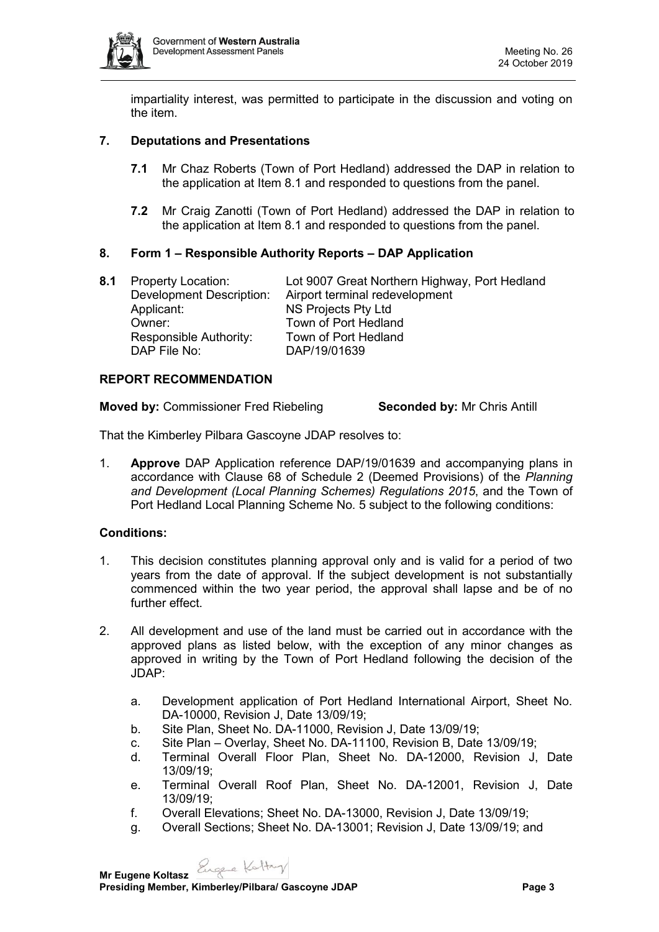

impartiality interest, was permitted to participate in the discussion and voting on the item.

# **7. Deputations and Presentations**

- **7.1** Mr Chaz Roberts (Town of Port Hedland) addressed the DAP in relation to the application at Item 8.1 and responded to questions from the panel.
- **7.2** Mr Craig Zanotti (Town of Port Hedland) addressed the DAP in relation to the application at Item 8.1 and responded to questions from the panel.

### **8. Form 1 – Responsible Authority Reports – DAP Application**

**8.1** Property Location: Lot 9007 Great Northern Highway, Port Hedland Development Description: Airport terminal redevelopment NS Projects Pty Ltd Owner: Town of Port Hedland Responsible Authority: Town of Port Hedland DAP File No: DAP/19/01639

### **REPORT RECOMMENDATION**

**Moved by:** Commissioner Fred Riebeling **Seconded by:** Mr Chris Antill

That the Kimberley Pilbara Gascoyne JDAP resolves to:

1. **Approve** DAP Application reference DAP/19/01639 and accompanying plans in accordance with Clause 68 of Schedule 2 (Deemed Provisions) of the *Planning and Development (Local Planning Schemes) Regulations 2015*, and the Town of Port Hedland Local Planning Scheme No. 5 subject to the following conditions:

# **Conditions:**

- 1. This decision constitutes planning approval only and is valid for a period of two years from the date of approval. If the subject development is not substantially commenced within the two year period, the approval shall lapse and be of no further effect.
- 2. All development and use of the land must be carried out in accordance with the approved plans as listed below, with the exception of any minor changes as approved in writing by the Town of Port Hedland following the decision of the JDAP:
	- a. Development application of Port Hedland International Airport, Sheet No. DA-10000, Revision J, Date 13/09/19;
	- b. Site Plan, Sheet No. DA-11000, Revision J, Date 13/09/19;
	- c. Site Plan Overlay, Sheet No. DA-11100, Revision B, Date 13/09/19;
	- d. Terminal Overall Floor Plan, Sheet No. DA-12000, Revision J, Date 13/09/19;
	- e. Terminal Overall Roof Plan, Sheet No. DA-12001, Revision J, Date 13/09/19;
	- f. Overall Elevations; Sheet No. DA-13000, Revision J, Date 13/09/19;
	- g. Overall Sections; Sheet No. DA-13001; Revision J, Date 13/09/19; and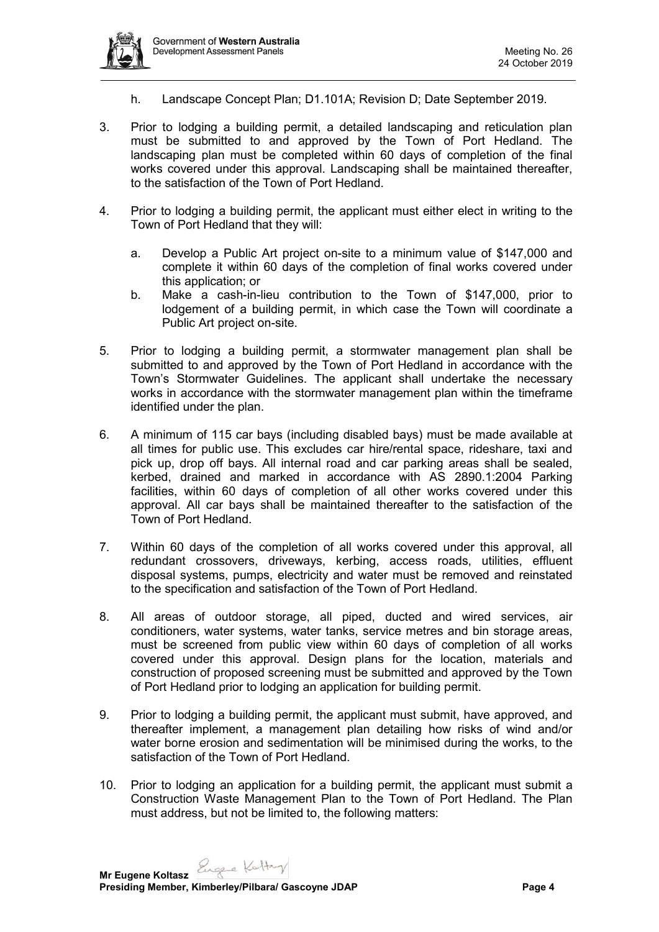

- h. Landscape Concept Plan; D1.101A; Revision D; Date September 2019.
- 3. Prior to lodging a building permit, a detailed landscaping and reticulation plan must be submitted to and approved by the Town of Port Hedland. The landscaping plan must be completed within 60 days of completion of the final works covered under this approval. Landscaping shall be maintained thereafter, to the satisfaction of the Town of Port Hedland.
- 4. Prior to lodging a building permit, the applicant must either elect in writing to the Town of Port Hedland that they will:
	- a. Develop a Public Art project on-site to a minimum value of \$147,000 and complete it within 60 days of the completion of final works covered under this application; or
	- b. Make a cash-in-lieu contribution to the Town of \$147,000, prior to lodgement of a building permit, in which case the Town will coordinate a Public Art project on-site.
- 5. Prior to lodging a building permit, a stormwater management plan shall be submitted to and approved by the Town of Port Hedland in accordance with the Town's Stormwater Guidelines. The applicant shall undertake the necessary works in accordance with the stormwater management plan within the timeframe identified under the plan.
- 6. A minimum of 115 car bays (including disabled bays) must be made available at all times for public use. This excludes car hire/rental space, rideshare, taxi and pick up, drop off bays. All internal road and car parking areas shall be sealed, kerbed, drained and marked in accordance with AS 2890.1:2004 Parking facilities, within 60 days of completion of all other works covered under this approval. All car bays shall be maintained thereafter to the satisfaction of the Town of Port Hedland.
- 7. Within 60 days of the completion of all works covered under this approval, all redundant crossovers, driveways, kerbing, access roads, utilities, effluent disposal systems, pumps, electricity and water must be removed and reinstated to the specification and satisfaction of the Town of Port Hedland.
- 8. All areas of outdoor storage, all piped, ducted and wired services, air conditioners, water systems, water tanks, service metres and bin storage areas, must be screened from public view within 60 days of completion of all works covered under this approval. Design plans for the location, materials and construction of proposed screening must be submitted and approved by the Town of Port Hedland prior to lodging an application for building permit.
- 9. Prior to lodging a building permit, the applicant must submit, have approved, and thereafter implement, a management plan detailing how risks of wind and/or water borne erosion and sedimentation will be minimised during the works, to the satisfaction of the Town of Port Hedland.
- 10. Prior to lodging an application for a building permit, the applicant must submit a Construction Waste Management Plan to the Town of Port Hedland. The Plan must address, but not be limited to, the following matters: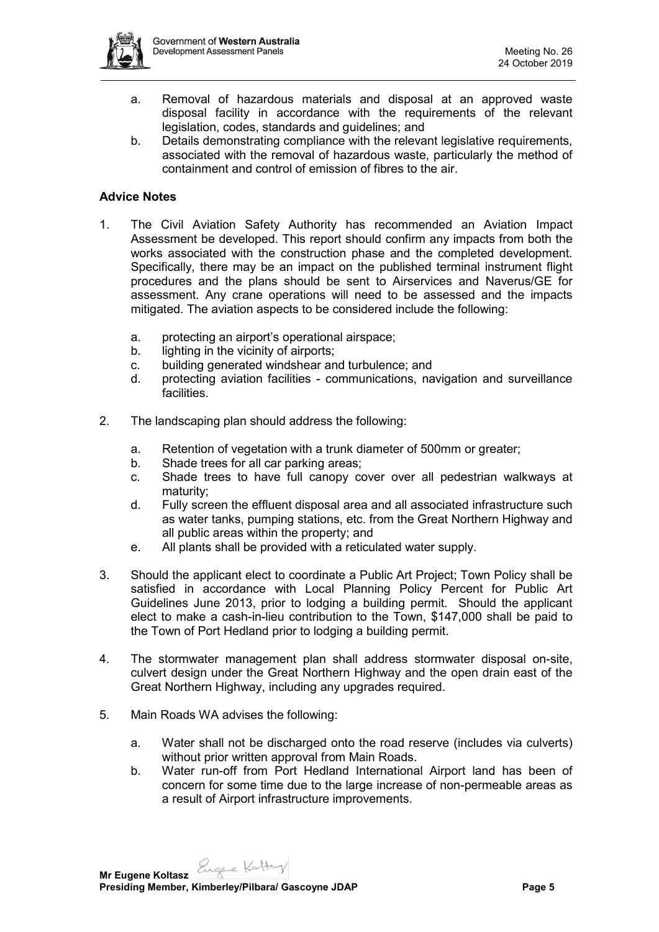

- a. Removal of hazardous materials and disposal at an approved waste disposal facility in accordance with the requirements of the relevant legislation, codes, standards and guidelines; and
- b. Details demonstrating compliance with the relevant legislative requirements, associated with the removal of hazardous waste, particularly the method of containment and control of emission of fibres to the air.

### **Advice Notes**

- 1. The Civil Aviation Safety Authority has recommended an Aviation Impact Assessment be developed. This report should confirm any impacts from both the works associated with the construction phase and the completed development. Specifically, there may be an impact on the published terminal instrument flight procedures and the plans should be sent to Airservices and Naverus/GE for assessment. Any crane operations will need to be assessed and the impacts mitigated. The aviation aspects to be considered include the following:
	- a. protecting an airport's operational airspace;
	- b. lighting in the vicinity of airports;
	- c. building generated windshear and turbulence; and
	- d. protecting aviation facilities communications, navigation and surveillance facilities.
- 2. The landscaping plan should address the following:
	- a. Retention of vegetation with a trunk diameter of 500mm or greater;
	- b. Shade trees for all car parking areas;
	- c. Shade trees to have full canopy cover over all pedestrian walkways at maturity;
	- d. Fully screen the effluent disposal area and all associated infrastructure such as water tanks, pumping stations, etc. from the Great Northern Highway and all public areas within the property; and
	- e. All plants shall be provided with a reticulated water supply.
- 3. Should the applicant elect to coordinate a Public Art Project; Town Policy shall be satisfied in accordance with Local Planning Policy Percent for Public Art Guidelines June 2013, prior to lodging a building permit. Should the applicant elect to make a cash-in-lieu contribution to the Town, \$147,000 shall be paid to the Town of Port Hedland prior to lodging a building permit.
- 4. The stormwater management plan shall address stormwater disposal on-site, culvert design under the Great Northern Highway and the open drain east of the Great Northern Highway, including any upgrades required.
- 5. Main Roads WA advises the following:
	- a. Water shall not be discharged onto the road reserve (includes via culverts) without prior written approval from Main Roads.
	- b. Water run-off from Port Hedland International Airport land has been of concern for some time due to the large increase of non-permeable areas as a result of Airport infrastructure improvements.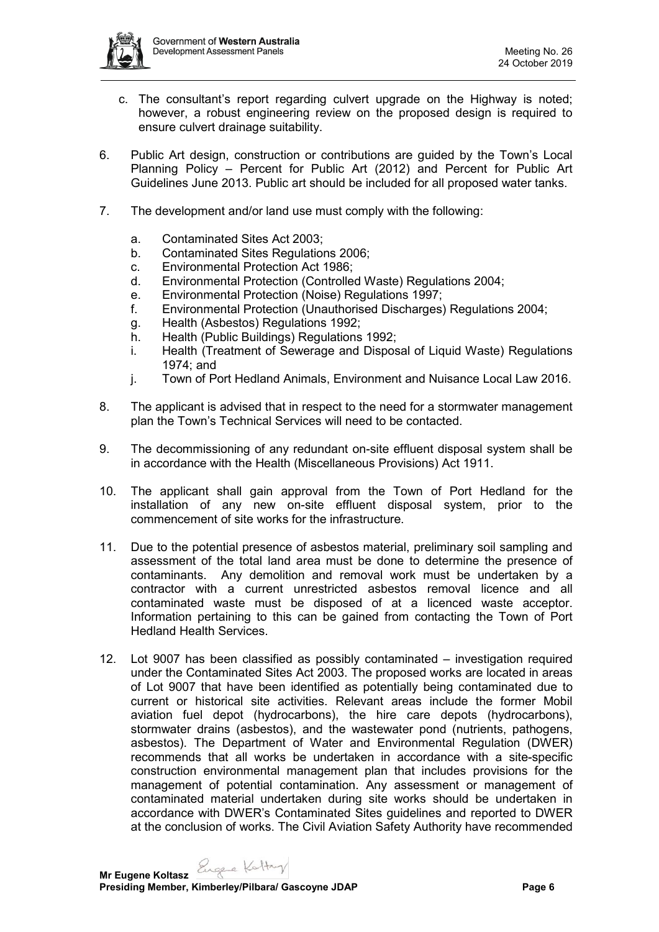

- c. The consultant's report regarding culvert upgrade on the Highway is noted; however, a robust engineering review on the proposed design is required to ensure culvert drainage suitability.
- 6. Public Art design, construction or contributions are guided by the Town's Local Planning Policy – Percent for Public Art (2012) and Percent for Public Art Guidelines June 2013. Public art should be included for all proposed water tanks.
- 7. The development and/or land use must comply with the following:
	- a. Contaminated Sites Act 2003;
	- b. Contaminated Sites Regulations 2006;
	- c. Environmental Protection Act 1986;
	- d. Environmental Protection (Controlled Waste) Regulations 2004;
	- e. Environmental Protection (Noise) Regulations 1997;
	- f. Environmental Protection (Unauthorised Discharges) Regulations 2004;
	- g. Health (Asbestos) Regulations 1992;
	- h. Health (Public Buildings) Regulations 1992;
	- i. Health (Treatment of Sewerage and Disposal of Liquid Waste) Regulations 1974; and
	- j. Town of Port Hedland Animals, Environment and Nuisance Local Law 2016.
- 8. The applicant is advised that in respect to the need for a stormwater management plan the Town's Technical Services will need to be contacted.
- 9. The decommissioning of any redundant on-site effluent disposal system shall be in accordance with the Health (Miscellaneous Provisions) Act 1911.
- 10. The applicant shall gain approval from the Town of Port Hedland for the installation of any new on-site effluent disposal system, prior to the commencement of site works for the infrastructure.
- 11. Due to the potential presence of asbestos material, preliminary soil sampling and assessment of the total land area must be done to determine the presence of contaminants. Any demolition and removal work must be undertaken by a contractor with a current unrestricted asbestos removal licence and all contaminated waste must be disposed of at a licenced waste acceptor. Information pertaining to this can be gained from contacting the Town of Port Hedland Health Services.
- 12. Lot 9007 has been classified as possibly contaminated investigation required under the Contaminated Sites Act 2003. The proposed works are located in areas of Lot 9007 that have been identified as potentially being contaminated due to current or historical site activities. Relevant areas include the former Mobil aviation fuel depot (hydrocarbons), the hire care depots (hydrocarbons), stormwater drains (asbestos), and the wastewater pond (nutrients, pathogens, asbestos). The Department of Water and Environmental Regulation (DWER) recommends that all works be undertaken in accordance with a site-specific construction environmental management plan that includes provisions for the management of potential contamination. Any assessment or management of contaminated material undertaken during site works should be undertaken in accordance with DWER's Contaminated Sites guidelines and reported to DWER at the conclusion of works. The Civil Aviation Safety Authority have recommended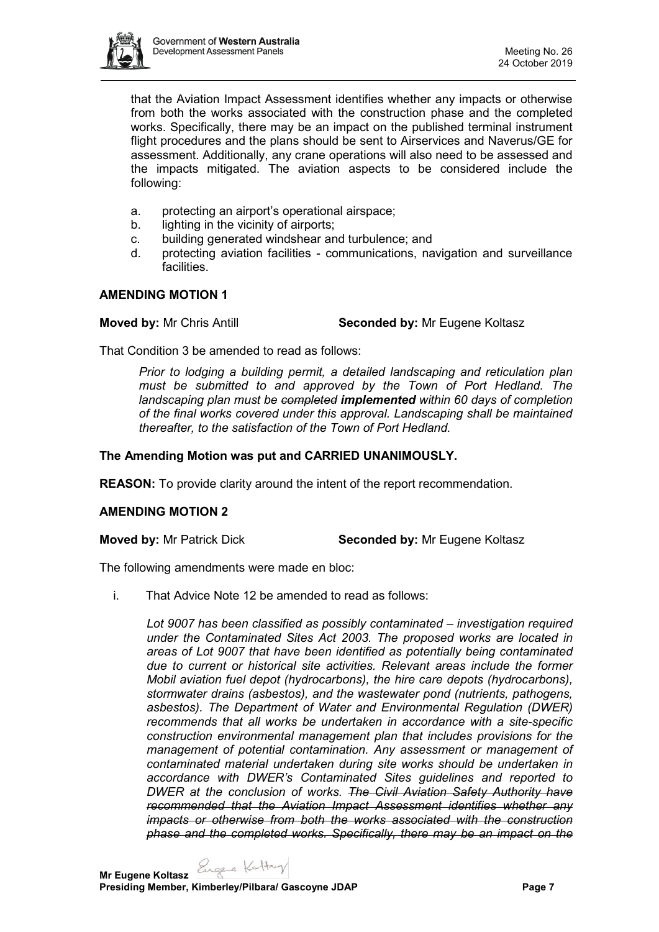

that the Aviation Impact Assessment identifies whether any impacts or otherwise from both the works associated with the construction phase and the completed works. Specifically, there may be an impact on the published terminal instrument flight procedures and the plans should be sent to Airservices and Naverus/GE for assessment. Additionally, any crane operations will also need to be assessed and the impacts mitigated. The aviation aspects to be considered include the following:

- a. protecting an airport's operational airspace;
- b. lighting in the vicinity of airports;
- c. building generated windshear and turbulence; and
- d. protecting aviation facilities communications, navigation and surveillance facilities.

### **AMENDING MOTION 1**

**Moved by:** Mr Chris Antill **Seconded by:** Mr Eugene Koltasz

That Condition 3 be amended to read as follows:

*Prior to lodging a building permit, a detailed landscaping and reticulation plan must be submitted to and approved by the Town of Port Hedland. The landscaping plan must be completed implemented within 60 days of completion of the final works covered under this approval. Landscaping shall be maintained thereafter, to the satisfaction of the Town of Port Hedland.*

# **The Amending Motion was put and CARRIED UNANIMOUSLY.**

**REASON:** To provide clarity around the intent of the report recommendation.

### **AMENDING MOTION 2**

**Moved by:** Mr Patrick Dick **Seconded by:** Mr Eugene Koltasz

The following amendments were made en bloc:

i. That Advice Note 12 be amended to read as follows:

*Lot 9007 has been classified as possibly contaminated – investigation required under the Contaminated Sites Act 2003. The proposed works are located in areas of Lot 9007 that have been identified as potentially being contaminated due to current or historical site activities. Relevant areas include the former Mobil aviation fuel depot (hydrocarbons), the hire care depots (hydrocarbons), stormwater drains (asbestos), and the wastewater pond (nutrients, pathogens, asbestos). The Department of Water and Environmental Regulation (DWER) recommends that all works be undertaken in accordance with a site-specific construction environmental management plan that includes provisions for the management of potential contamination. Any assessment or management of contaminated material undertaken during site works should be undertaken in accordance with DWER's Contaminated Sites guidelines and reported to DWER at the conclusion of works. The Civil Aviation Safety Authority have recommended that the Aviation Impact Assessment identifies whether any impacts or otherwise from both the works associated with the construction phase and the completed works. Specifically, there may be an impact on the* 

**Mr Eugene Koltasz**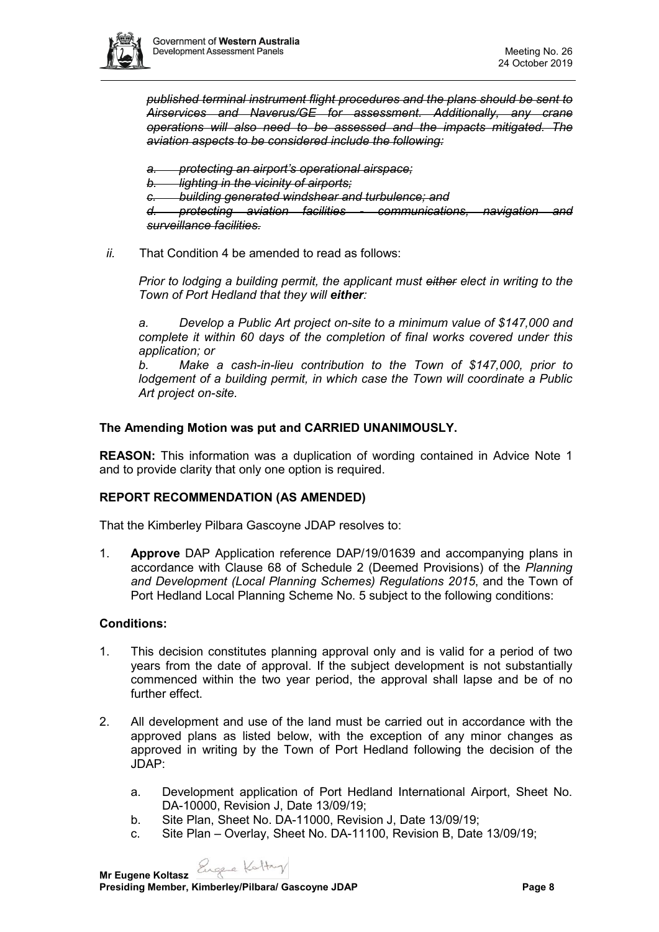

*published terminal instrument flight procedures and the plans should be sent to Airservices and Naverus/GE for assessment. Additionally, any crane operations will also need to be assessed and the impacts mitigated. The aviation aspects to be considered include the following:*

*a. protecting an airport's operational airspace;*

*b. lighting in the vicinity of airports;*

*c. building generated windshear and turbulence; and*

*d. protecting aviation facilities - communications, navigation and surveillance facilities.*

### *ii.* That Condition 4 be amended to read as follows:

*Prior to lodging a building permit, the applicant must either elect in writing to the Town of Port Hedland that they will either:*

*a. Develop a Public Art project on-site to a minimum value of \$147,000 and complete it within 60 days of the completion of final works covered under this application; or*

*b. Make a cash-in-lieu contribution to the Town of \$147,000, prior to lodgement of a building permit, in which case the Town will coordinate a Public Art project on-site.*

### **The Amending Motion was put and CARRIED UNANIMOUSLY.**

**REASON:** This information was a duplication of wording contained in Advice Note 1 and to provide clarity that only one option is required.

# **REPORT RECOMMENDATION (AS AMENDED)**

That the Kimberley Pilbara Gascoyne JDAP resolves to:

1. **Approve** DAP Application reference DAP/19/01639 and accompanying plans in accordance with Clause 68 of Schedule 2 (Deemed Provisions) of the *Planning and Development (Local Planning Schemes) Regulations 2015*, and the Town of Port Hedland Local Planning Scheme No. 5 subject to the following conditions:

### **Conditions:**

- 1. This decision constitutes planning approval only and is valid for a period of two years from the date of approval. If the subject development is not substantially commenced within the two year period, the approval shall lapse and be of no further effect.
- 2. All development and use of the land must be carried out in accordance with the approved plans as listed below, with the exception of any minor changes as approved in writing by the Town of Port Hedland following the decision of the JDAP:
	- a. Development application of Port Hedland International Airport, Sheet No. DA-10000, Revision J, Date 13/09/19;
	- b. Site Plan, Sheet No. DA-11000, Revision J, Date 13/09/19;
	- c. Site Plan Overlay, Sheet No. DA-11100, Revision B, Date 13/09/19;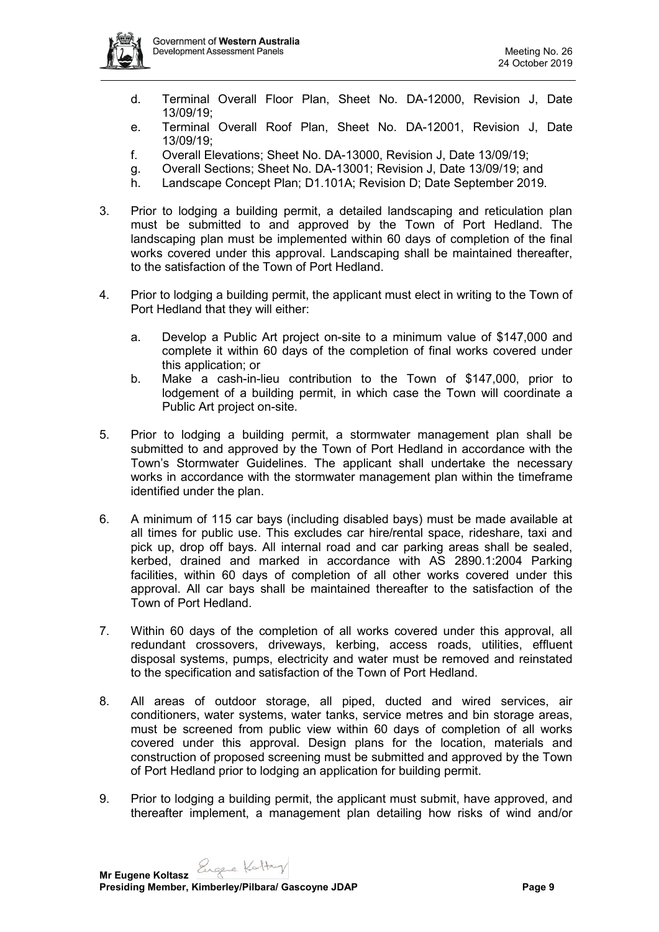

- d. Terminal Overall Floor Plan, Sheet No. DA-12000, Revision J, Date 13/09/19;
- e. Terminal Overall Roof Plan, Sheet No. DA-12001, Revision J, Date 13/09/19;
- f. Overall Elevations; Sheet No. DA-13000, Revision J, Date 13/09/19;
- g. Overall Sections; Sheet No. DA-13001; Revision J, Date 13/09/19; and
- h. Landscape Concept Plan; D1.101A; Revision D; Date September 2019.
- 3. Prior to lodging a building permit, a detailed landscaping and reticulation plan must be submitted to and approved by the Town of Port Hedland. The landscaping plan must be implemented within 60 days of completion of the final works covered under this approval. Landscaping shall be maintained thereafter, to the satisfaction of the Town of Port Hedland.
- 4. Prior to lodging a building permit, the applicant must elect in writing to the Town of Port Hedland that they will either:
	- a. Develop a Public Art project on-site to a minimum value of \$147,000 and complete it within 60 days of the completion of final works covered under this application; or
	- b. Make a cash-in-lieu contribution to the Town of \$147,000, prior to lodgement of a building permit, in which case the Town will coordinate a Public Art project on-site.
- 5. Prior to lodging a building permit, a stormwater management plan shall be submitted to and approved by the Town of Port Hedland in accordance with the Town's Stormwater Guidelines. The applicant shall undertake the necessary works in accordance with the stormwater management plan within the timeframe identified under the plan.
- 6. A minimum of 115 car bays (including disabled bays) must be made available at all times for public use. This excludes car hire/rental space, rideshare, taxi and pick up, drop off bays. All internal road and car parking areas shall be sealed, kerbed, drained and marked in accordance with AS 2890.1:2004 Parking facilities, within 60 days of completion of all other works covered under this approval. All car bays shall be maintained thereafter to the satisfaction of the Town of Port Hedland.
- 7. Within 60 days of the completion of all works covered under this approval, all redundant crossovers, driveways, kerbing, access roads, utilities, effluent disposal systems, pumps, electricity and water must be removed and reinstated to the specification and satisfaction of the Town of Port Hedland.
- 8. All areas of outdoor storage, all piped, ducted and wired services, air conditioners, water systems, water tanks, service metres and bin storage areas, must be screened from public view within 60 days of completion of all works covered under this approval. Design plans for the location, materials and construction of proposed screening must be submitted and approved by the Town of Port Hedland prior to lodging an application for building permit.
- 9. Prior to lodging a building permit, the applicant must submit, have approved, and thereafter implement, a management plan detailing how risks of wind and/or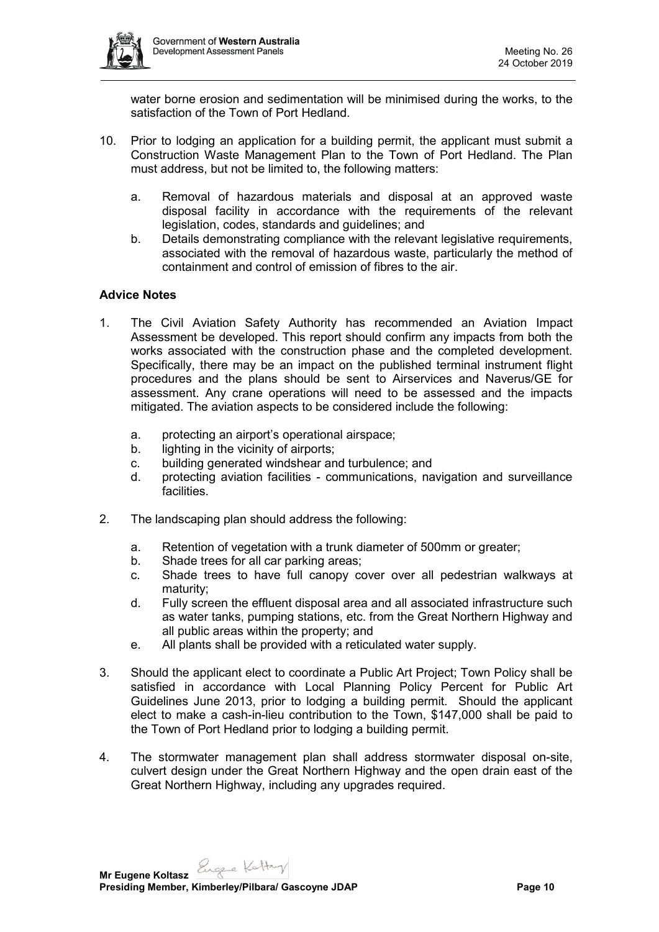

water borne erosion and sedimentation will be minimised during the works, to the satisfaction of the Town of Port Hedland.

- 10. Prior to lodging an application for a building permit, the applicant must submit a Construction Waste Management Plan to the Town of Port Hedland. The Plan must address, but not be limited to, the following matters:
	- a. Removal of hazardous materials and disposal at an approved waste disposal facility in accordance with the requirements of the relevant legislation, codes, standards and guidelines; and
	- b. Details demonstrating compliance with the relevant legislative requirements. associated with the removal of hazardous waste, particularly the method of containment and control of emission of fibres to the air.

# **Advice Notes**

- 1. The Civil Aviation Safety Authority has recommended an Aviation Impact Assessment be developed. This report should confirm any impacts from both the works associated with the construction phase and the completed development. Specifically, there may be an impact on the published terminal instrument flight procedures and the plans should be sent to Airservices and Naverus/GE for assessment. Any crane operations will need to be assessed and the impacts mitigated. The aviation aspects to be considered include the following:
	- a. protecting an airport's operational airspace;
	- b. lighting in the vicinity of airports;
	- c. building generated windshear and turbulence; and
	- d. protecting aviation facilities communications, navigation and surveillance facilities.
- 2. The landscaping plan should address the following:
	- a. Retention of vegetation with a trunk diameter of 500mm or greater;
	- b. Shade trees for all car parking areas;
	- c. Shade trees to have full canopy cover over all pedestrian walkways at maturity;
	- d. Fully screen the effluent disposal area and all associated infrastructure such as water tanks, pumping stations, etc. from the Great Northern Highway and all public areas within the property; and
	- e. All plants shall be provided with a reticulated water supply.
- 3. Should the applicant elect to coordinate a Public Art Project; Town Policy shall be satisfied in accordance with Local Planning Policy Percent for Public Art Guidelines June 2013, prior to lodging a building permit. Should the applicant elect to make a cash-in-lieu contribution to the Town, \$147,000 shall be paid to the Town of Port Hedland prior to lodging a building permit.
- 4. The stormwater management plan shall address stormwater disposal on-site, culvert design under the Great Northern Highway and the open drain east of the Great Northern Highway, including any upgrades required.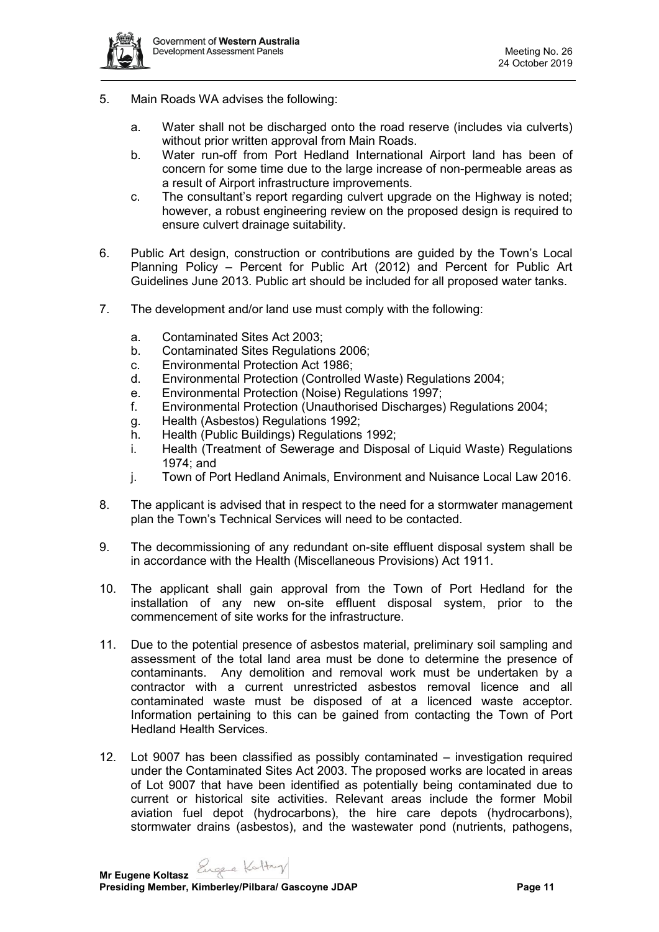- 5. Main Roads WA advises the following:
	- a. Water shall not be discharged onto the road reserve (includes via culverts) without prior written approval from Main Roads.
	- b. Water run-off from Port Hedland International Airport land has been of concern for some time due to the large increase of non-permeable areas as a result of Airport infrastructure improvements.
	- c. The consultant's report regarding culvert upgrade on the Highway is noted; however, a robust engineering review on the proposed design is required to ensure culvert drainage suitability.
- 6. Public Art design, construction or contributions are guided by the Town's Local Planning Policy – Percent for Public Art (2012) and Percent for Public Art Guidelines June 2013. Public art should be included for all proposed water tanks.
- 7. The development and/or land use must comply with the following:
	- a. Contaminated Sites Act 2003;
	- b. Contaminated Sites Regulations 2006;
	- c. Environmental Protection Act 1986;
	- d. Environmental Protection (Controlled Waste) Regulations 2004;
	- e. Environmental Protection (Noise) Regulations 1997;
	- f. Environmental Protection (Unauthorised Discharges) Regulations 2004;
	- g. Health (Asbestos) Regulations 1992;
	- h. Health (Public Buildings) Regulations 1992;
	- i. Health (Treatment of Sewerage and Disposal of Liquid Waste) Regulations 1974; and
	- j. Town of Port Hedland Animals, Environment and Nuisance Local Law 2016.
- 8. The applicant is advised that in respect to the need for a stormwater management plan the Town's Technical Services will need to be contacted.
- 9. The decommissioning of any redundant on-site effluent disposal system shall be in accordance with the Health (Miscellaneous Provisions) Act 1911.
- 10. The applicant shall gain approval from the Town of Port Hedland for the installation of any new on-site effluent disposal system, prior to the commencement of site works for the infrastructure.
- 11. Due to the potential presence of asbestos material, preliminary soil sampling and assessment of the total land area must be done to determine the presence of contaminants. Any demolition and removal work must be undertaken by a contractor with a current unrestricted asbestos removal licence and all contaminated waste must be disposed of at a licenced waste acceptor. Information pertaining to this can be gained from contacting the Town of Port Hedland Health Services.
- 12. Lot 9007 has been classified as possibly contaminated investigation required under the Contaminated Sites Act 2003. The proposed works are located in areas of Lot 9007 that have been identified as potentially being contaminated due to current or historical site activities. Relevant areas include the former Mobil aviation fuel depot (hydrocarbons), the hire care depots (hydrocarbons), stormwater drains (asbestos), and the wastewater pond (nutrients, pathogens,